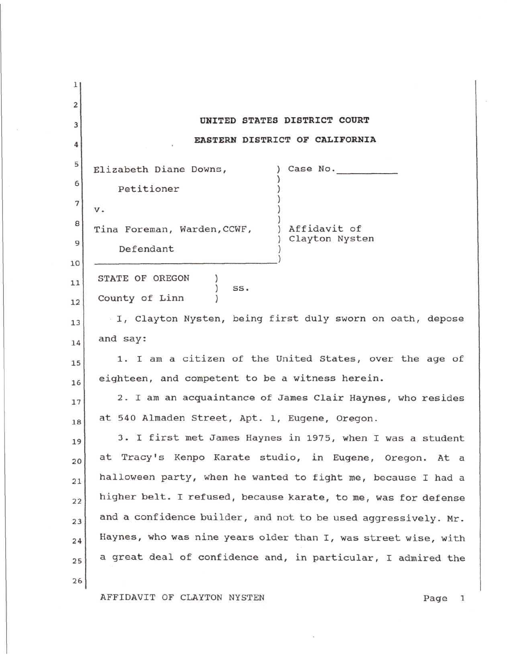| 1                       |                                                                |
|-------------------------|----------------------------------------------------------------|
| $\overline{\mathbf{2}}$ |                                                                |
| 3                       | UNITED STATES DISTRICT COURT                                   |
| 4                       | EASTERN DISTRICT OF CALIFORNIA                                 |
| 5                       | Elizabeth Diane Downs,<br>Case No.                             |
| 6                       | Petitioner                                                     |
| $\tau$                  | v.                                                             |
| 8                       | Affidavit of<br>Tina Foreman, Warden, CCWF,                    |
| 9                       | Clayton Nysten<br>Defendant                                    |
| 10                      |                                                                |
| 11                      | STATE OF OREGON<br>SS.                                         |
| 12                      | County of Linn                                                 |
| 13                      | I, Clayton Nysten, being first duly sworn on oath, depose      |
| 14                      | and say:                                                       |
| 15                      | 1. I am a citizen of the United States, over the age of        |
| 16                      | eighteen, and competent to be a witness herein.                |
| 17                      | 2. I am an acquaintance of James Clair Haynes, who resides     |
| 18                      | at 540 Almaden Street, Apt. 1, Eugene, Oregon.                 |
| 19                      | 3. I first met James Haynes in 1975, when I was a student      |
| 20                      | at Tracy's Kenpo Karate studio, in Eugene, Oregon. At a        |
| 21                      | halloween party, when he wanted to fight me, because I had a   |
| 22                      | higher belt. I refused, because karate, to me, was for defense |
| 23                      | and a confidence builder, and not to be used aggressively. Mr. |
| 24                      | Haynes, who was nine years older than I, was street wise, with |
| 25                      | a great deal of confidence and, in particular, I admired the   |
| 26                      |                                                                |
|                         | AFFIDAVIT OF CLAYTON NYSTEN<br>Page 1                          |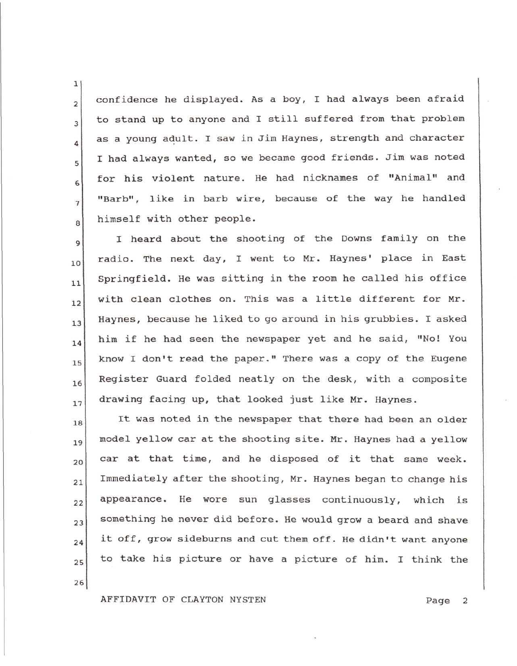$_2$  confidence he displayed. As a boy, I had always been afraid to stand up to anyone and I still suffered from that problem 3 as a young adult. I saw in Jim Haynes, strength and character I had always wanted, so we became good friends. Jim was noted 5 for his violent nature. He had nicknames of "Animal" and o "Barb", like in barb wire, because of the way he handled  $\overline{7}$ himself with other people. 8

9 10 I heard about the shooting of the Downs family on the radio. The next day, I went to Mr. Haynes' place in East ll  $_{12}$  with clean clothes on. This was a little different for Mr.  $\begin{bmatrix} 1 & 1 \\ 1 & 1 \end{bmatrix}$  Haynes, because he liked to go around in his grubbies. I asked 14 15 16 17 Springfield. He was sitting in the room he called his office him if he had seen the newspaper yet and he said, "No! You know I don't read the paper." There was a copy of the Eugene Register Guard folded neatly on the desk, with a composite drawing facing up, that looked just like Mr. Haynes.

18 19 20 21 22 23 24 25 It was noted in the newspaper that there had been an older model yellow car at the shooting site. Mr. Haynes had a yellow car at that time, and he disposed of it that same week. Immediately after the shooting, Mr. Haynes began to change his appearance. He wore sun glasses continuously, which is something he never did before. He would grow a beard and shave it off, grow sideburns and cut them off. He didn't want anyone to take his picture or have a picture of him. I think the

26

1

4

AFFIDAVIT OF CLAYTON NYSTEN Page 2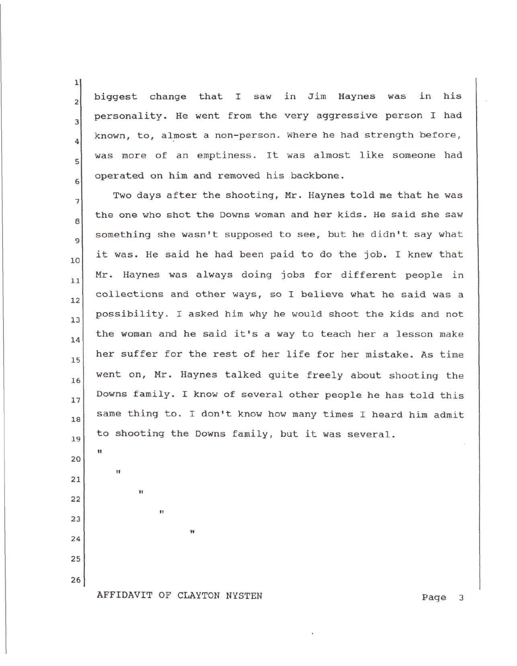biggest change that I saw in Jim Haynes was in his personality. He went from the very aggressive person I had known, to, almost a non-person. Where he had strength before, was more of an emptiness. It was almost like someone had operated on him and removed his backbone.

Two days after the shooting, Mr. Haynes told me that he was 7 the one who shot the Downs woman and her kids. He said she saw 8 something she wasn't supposed to see, but he didn't say what 9 it was. He said he had been paid to do the job. I knew that 10 Mr. Haynes was always doing jobs for different people in  $11$ collections and other ways, so I believe what he said was a  $12$ possibility. I asked him why he would shoot the kids and not  $13$ the woman and he said it's a way to teach her a lesson make 14 her suffer for the rest of her life for her mistake. As time 15 went on, Mr. Haynes talked quite freely about shooting the 16 Downs family. I know of several other people he has told this  $17$ same thing to. I don't know how many times I heard him admit 18 to shooting the Downs family, but it was several. 19

26

ii

**11**

**ii**

**ii**

1

 $\overline{2}$ 

3

4

6

5

AFFIDAVIT OF CLAYTON NYSTEN Page 3

**ti**